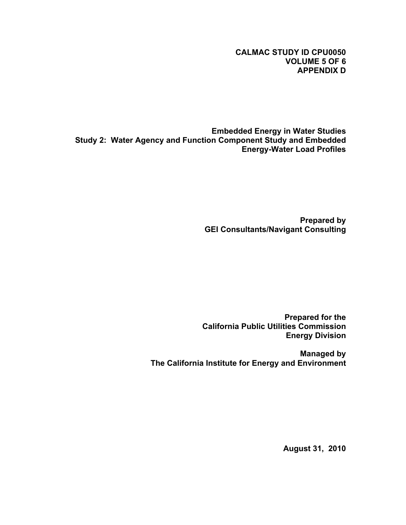# **CALMAC STUDY ID CPU0050 VOLUME 5 OF 6 APPENDIX D**

**Embedded Energy in Water Studies Study 2: Water Agency and Function Component Study and Embedded Energy-Water Load Profiles**

> **Prepared by GEI Consultants/Navigant Consulting**

**Prepared for the California Public Utilities Commission Energy Division**

**Managed by The California Institute for Energy and Environment**

**August 31, 2010**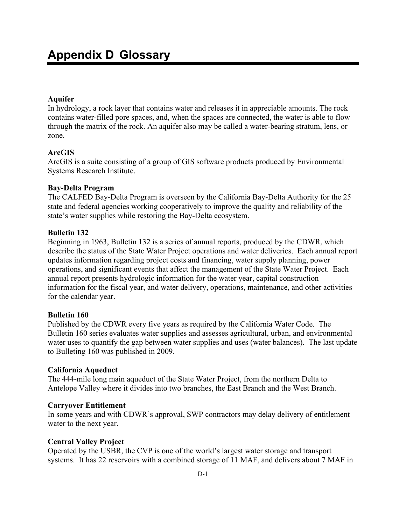# **Aquifer**

In hydrology, a rock layer that contains water and releases it in appreciable amounts. The rock contains water-filled pore spaces, and, when the spaces are connected, the water is able to flow through the matrix of the rock. An aquifer also may be called a water-bearing stratum, lens, or zone.

## **ArcGIS**

ArcGIS is a suite consisting of a group of GIS software products produced by Environmental Systems Research Institute.

## **Bay-Delta Program**

The CALFED Bay-Delta Program is overseen by the California Bay-Delta Authority for the 25 state and federal agencies working cooperatively to improve the quality and reliability of the state's water supplies while restoring the Bay-Delta ecosystem.

## **Bulletin 132**

Beginning in 1963, Bulletin 132 is a series of annual reports, produced by the CDWR, which describe the status of the State Water Project operations and water deliveries. Each annual report updates information regarding project costs and financing, water supply planning, power operations, and significant events that affect the management of the State Water Project. Each annual report presents hydrologic information for the water year, capital construction information for the fiscal year, and water delivery, operations, maintenance, and other activities for the calendar year.

## **Bulletin 160**

Published by the CDWR every five years as required by the California Water Code. The Bulletin 160 series evaluates water supplies and assesses agricultural, urban, and environmental water uses to quantify the gap between water supplies and uses (water balances). The last update to Bulleting 160 was published in 2009.

## **California Aqueduct**

The 444-mile long main aqueduct of the State Water Project, from the northern Delta to Antelope Valley where it divides into two branches, the East Branch and the West Branch.

## **Carryover Entitlement**

In some years and with CDWR's approval, SWP contractors may delay delivery of entitlement water to the next year.

## **Central Valley Project**

Operated by the USBR, the CVP is one of the world's largest water storage and transport systems. It has 22 reservoirs with a combined storage of 11 MAF, and delivers about 7 MAF in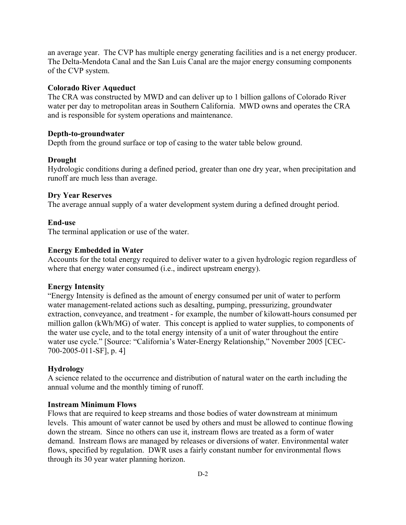an average year. The CVP has multiple energy generating facilities and is a net energy producer. The Delta-Mendota Canal and the San Luis Canal are the major energy consuming components of the CVP system.

### **Colorado River Aqueduct**

The CRA was constructed by MWD and can deliver up to 1 billion gallons of Colorado River water per day to metropolitan areas in Southern California. MWD owns and operates the CRA and is responsible for system operations and maintenance.

### **Depth-to-groundwater**

Depth from the ground surface or top of casing to the water table below ground.

### **Drought**

Hydrologic conditions during a defined period, greater than one dry year, when precipitation and runoff are much less than average.

### **Dry Year Reserves**

The average annual supply of a water development system during a defined drought period.

### **End-use**

The terminal application or use of the water.

### **Energy Embedded in Water**

Accounts for the total energy required to deliver water to a given hydrologic region regardless of where that energy water consumed (i.e., indirect upstream energy).

### **Energy Intensity**

"Energy Intensity is defined as the amount of energy consumed per unit of water to perform water management-related actions such as desalting, pumping, pressurizing, groundwater extraction, conveyance, and treatment - for example, the number of kilowatt-hours consumed per million gallon (kWh/MG) of water. This concept is applied to water supplies, to components of the water use cycle, and to the total energy intensity of a unit of water throughout the entire water use cycle." [Source: "California's Water-Energy Relationship," November 2005 [CEC-700-2005-011-SF], p. 4]

### **Hydrology**

A science related to the occurrence and distribution of natural water on the earth including the annual volume and the monthly timing of runoff.

#### **Instream Minimum Flows**

Flows that are required to keep streams and those bodies of water downstream at minimum levels. This amount of water cannot be used by others and must be allowed to continue flowing down the stream. Since no others can use it, instream flows are treated as a form of water demand. Instream flows are managed by releases or diversions of water. Environmental water flows, specified by regulation. DWR uses a fairly constant number for environmental flows through its 30 year water planning horizon.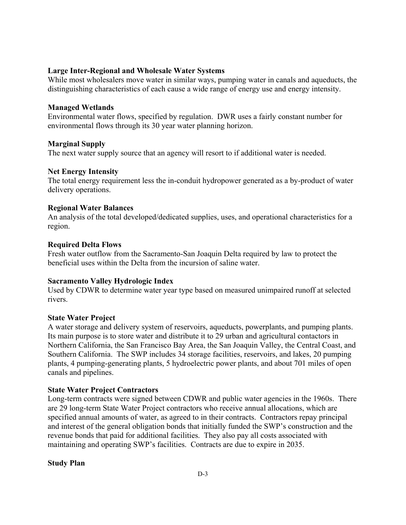## **Large Inter-Regional and Wholesale Water Systems**

While most wholesalers move water in similar ways, pumping water in canals and aqueducts, the distinguishing characteristics of each cause a wide range of energy use and energy intensity.

### **Managed Wetlands**

Environmental water flows, specified by regulation. DWR uses a fairly constant number for environmental flows through its 30 year water planning horizon.

### **Marginal Supply**

The next water supply source that an agency will resort to if additional water is needed.

### **Net Energy Intensity**

The total energy requirement less the in-conduit hydropower generated as a by-product of water delivery operations.

### **Regional Water Balances**

An analysis of the total developed/dedicated supplies, uses, and operational characteristics for a region.

### **Required Delta Flows**

Fresh water outflow from the Sacramento-San Joaquin Delta required by law to protect the beneficial uses within the Delta from the incursion of saline water.

## **Sacramento Valley Hydrologic Index**

Used by CDWR to determine water year type based on measured unimpaired runoff at selected rivers.

## **State Water Project**

A water storage and delivery system of reservoirs, aqueducts, powerplants, and pumping plants. Its main purpose is to store water and distribute it to 29 urban and agricultural contactors in Northern California, the San Francisco Bay Area, the San Joaquin Valley, the Central Coast, and Southern California. The SWP includes 34 storage facilities, reservoirs, and lakes, 20 pumping plants, 4 pumping-generating plants, 5 hydroelectric power plants, and about 701 miles of open canals and pipelines.

## **State Water Project Contractors**

Long-term contracts were signed between CDWR and public water agencies in the 1960s. There are 29 long-term State Water Project contractors who receive annual allocations, which are specified annual amounts of water, as agreed to in their contracts. Contractors repay principal and interest of the general obligation bonds that initially funded the SWP's construction and the revenue bonds that paid for additional facilities. They also pay all costs associated with maintaining and operating SWP's facilities. Contracts are due to expire in 2035.

## **Study Plan**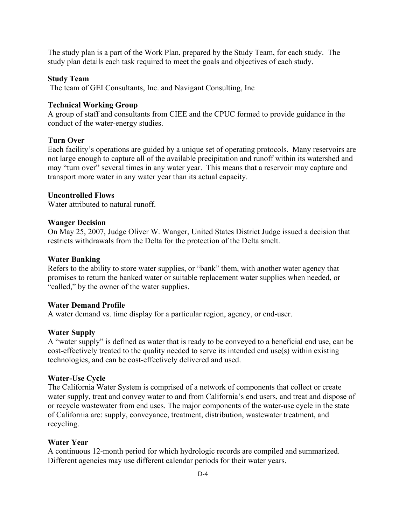The study plan is a part of the Work Plan, prepared by the Study Team, for each study. The study plan details each task required to meet the goals and objectives of each study.

#### **Study Team**

The team of GEI Consultants, Inc. and Navigant Consulting, Inc

#### **Technical Working Group**

A group of staff and consultants from CIEE and the CPUC formed to provide guidance in the conduct of the water-energy studies.

### **Turn Over**

Each facility's operations are guided by a unique set of operating protocols. Many reservoirs are not large enough to capture all of the available precipitation and runoff within its watershed and may "turn over" several times in any water year. This means that a reservoir may capture and transport more water in any water year than its actual capacity.

### **Uncontrolled Flows**

Water attributed to natural runoff.

### **Wanger Decision**

On May 25, 2007, Judge Oliver W. Wanger, United States District Judge issued a decision that restricts withdrawals from the Delta for the protection of the Delta smelt.

### **Water Banking**

Refers to the ability to store water supplies, or "bank" them, with another water agency that promises to return the banked water or suitable replacement water supplies when needed, or "called," by the owner of the water supplies.

#### **Water Demand Profile**

A water demand vs. time display for a particular region, agency, or end-user.

### **Water Supply**

A "water supply" is defined as water that is ready to be conveyed to a beneficial end use, can be cost-effectively treated to the quality needed to serve its intended end use(s) within existing technologies, and can be cost-effectively delivered and used.

#### **Water-Use Cycle**

The California Water System is comprised of a network of components that collect or create water supply, treat and convey water to and from California's end users, and treat and dispose of or recycle wastewater from end uses. The major components of the water-use cycle in the state of California are: supply, conveyance, treatment, distribution, wastewater treatment, and recycling.

### **Water Year**

A continuous 12-month period for which hydrologic records are compiled and summarized. Different agencies may use different calendar periods for their water years.